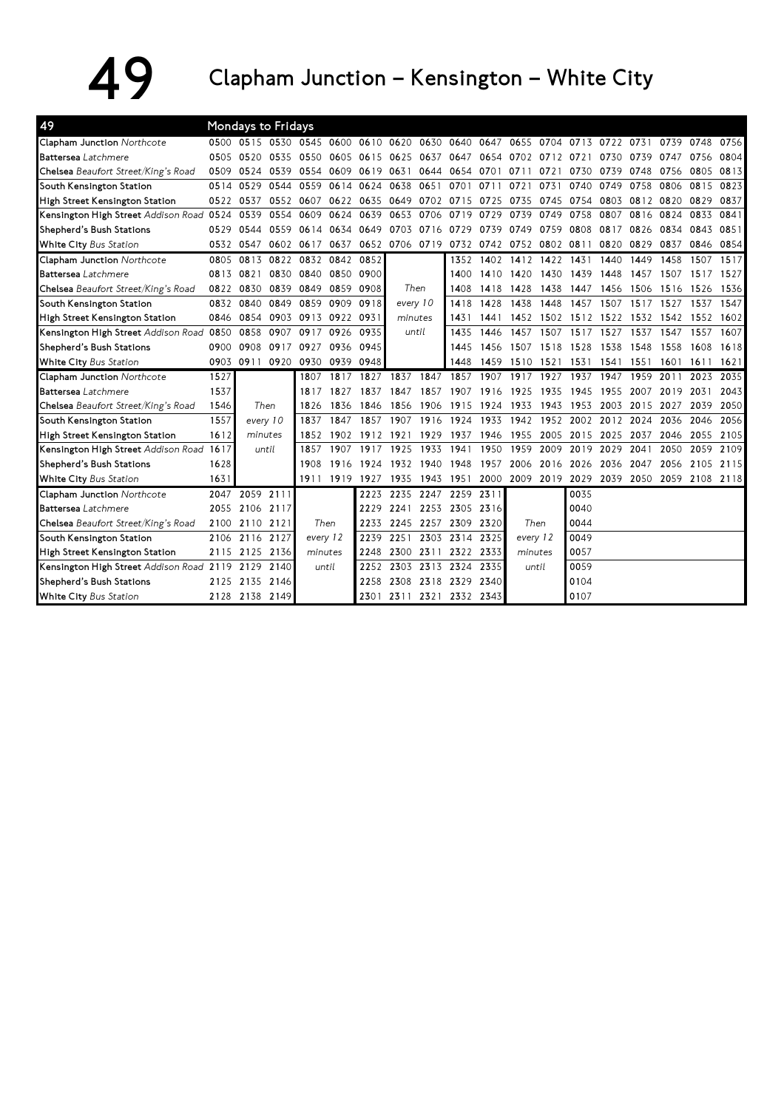## $49$  Clapham Junction – Kensington – White City

| 49                                       |      | Mondays to Fridays |      |           |           |           |           |           |                          |      |                |      |      |                |      |                          |      |      |
|------------------------------------------|------|--------------------|------|-----------|-----------|-----------|-----------|-----------|--------------------------|------|----------------|------|------|----------------|------|--------------------------|------|------|
| Clapham Junction Northcote               |      | 0500 0515          | 0530 | 0545      | 0600      | 0610 0620 |           |           | 0630 0640                | 0647 | 0655           | 0704 |      | 0713 0722 0731 |      | 0739                     | 0748 | 0756 |
| Battersea Latchmere                      | 0505 | 0520               | 0535 | 0550      | 0605      | 0615      | 0625      | 0637      | 0647                     | 0654 | 0702           | 0712 | 0721 | 0730           | 0739 | 0747                     | 0756 | 0804 |
| Chelsea Beaufort Street/King's Road      | 0509 | 0524               | 0539 | 0554      | 0609      | 0619      | 0631      | 0644      | 0654                     | 0701 | 0711           | 0721 | 0730 | 0739           | 0748 | 0756                     | 0805 | 0813 |
| South Kensington Station                 | 0514 | 0529               | 0544 | 0559      | 0614      | 0624      | 0638      | 0651      | 0701                     | 0711 | 0721           | 0731 | 0740 | 0749           | 0758 | 0806                     | 0815 | 0823 |
| High Street Kensington Station           | 0522 | 0537               | 0552 | 0607      |           | 0622 0635 | 0649      |           | 0702 0715                | 0725 | 0735           | 0745 | 0754 | 0803           | 0812 | 0820                     | 0829 | 0837 |
| Kensington High Street Addison Road 0524 |      | 0539               | 0554 | 0609      | 0624      | 0639      | 0653      | 0706      | 0719                     | 0729 | 0739           | 0749 | 0758 | 0807           | 0816 | 0824                     | 0833 | 0841 |
| Shepherd's Bush Stations                 | 0529 | 0544               | 0559 | 0614      | 0634      | 0649      | 0703      | 0716      | 0729                     | 0739 | 0749           | 0759 | 0808 | 0817           | 0826 | 0834                     | 0843 | 0851 |
| White City Bus Station                   |      | 0532 0547          |      | 0602 0617 | 0637      |           | 0652 0706 |           | 0719 0732 0742 0752 0802 |      |                |      | 0811 | 0820           | 0829 | 0837                     | 0846 | 0854 |
| Clapham Junction Northcote               | 0805 | 0813               | 0822 | 0832      | 0842 0852 |           |           |           | 1352                     | 1402 | 1412 1422      |      | 1431 | 1440           | 1449 | 1458                     | 1507 | 1517 |
| <b>Battersea</b> Latchmere               | 0813 | 0821               | 0830 | 0840      | 0850 0900 |           |           |           | 1400                     | 1410 | 1420           | 1430 | 1439 | 1448           | 1457 | 1507                     | 1517 | 1527 |
| Chelsea Beaufort Street/King's Road      | 0822 | 0830               | 0839 | 0849      | 0859      | 0908      |           | Then      | 1408                     | 1418 | 1428           | 1438 | 1447 | 1456           | 1506 | 1516                     | 1526 | 1536 |
| South Kensington Station                 | 0832 | 0840               | 0849 | 0859      | 0909      | 0918      | every 10  |           | 1418                     | 1428 | 1438           | 1448 | 1457 | 1507           | 1517 | 1527                     | 1537 | 1547 |
| High Street Kensington Station           | 0846 | 0854               | 0903 | 0913      | 0922      | 0931      | minutes   |           | 1431                     | 1441 | 1452           | 1502 | 1512 | 1522           | 1532 | 1542                     | 1552 | 1602 |
| Kensington High Street Addison Road      | 0850 | 0858               | 0907 | 0917      | 0926      | 0935      | until     |           | 1435                     | 1446 | 1457           | 1507 | 1517 | 1527           | 1537 | 1547                     | 1557 | 1607 |
| Shepherd's Bush Stations                 | 0900 | 0908               | 0917 | 0927      |           | 0936 0945 |           |           | 1445                     | 1456 | 1507           | 1518 | 1528 | 1538           | 1548 | 1558                     | 1608 | 1618 |
| White City Bus Station                   | 0903 | 0911               | 0920 | 0930      | 0939 0948 |           |           |           | 1448                     | 1459 | 1510 1521      |      | 1531 | 1541           | 1551 | 1601                     | 1611 | 1621 |
| <b>Clapham Junction Northcote</b>        | 1527 |                    |      | 1807      | 1817      | 1827      | 1837      | 1847      | 1857                     | 1907 | 1917           | 1927 | 1937 | 1947           | 1959 | 2011                     | 2023 | 2035 |
| <b>Battersea</b> Latchmere               | 1537 |                    |      | 1817      | 1827      | 1837      | 1847      | 1857      | 1907                     | 1916 | 1925           | 1935 | 1945 | 1955           | 2007 | 2019                     | 2031 | 2043 |
| Chelsea Beaufort Street/King's Road      | 1546 | Then               |      | 1826      | 1836      | 1846      | 1856      | 1906      | 1915                     | 1924 | 1933           | 1943 | 1953 | 2003           | 2015 | 2027                     | 2039 | 2050 |
| South Kensington Station                 | 1557 | every 10           |      | 1837      | 1847      | 1857      | 1907      | 1916      | 1924                     | 1933 | 1942           | 1952 | 2002 | 2012           | 2024 | 2036                     | 2046 | 2056 |
| High Street Kensington Station           | 1612 | minutes            |      | 1852      | 1902      | 1912      | 1921      | 1929      | 1937                     | 1946 | 1955           | 2005 | 2015 | 2025           | 2037 | 2046                     | 2055 | 2105 |
| Kensington High Street Addison Road 1617 |      | until              |      | 1857      | 1907      | 1917      | 1925      | 1933      | 1941                     | 1950 | 1959           | 2009 | 2019 | 2029           | 2041 | 2050                     | 2059 | 2109 |
| Shepherd's Bush Stations                 | 1628 |                    |      | 1908      | 1916      | 1924      | 1932      | 1940      | 1948                     | 1957 | 2006           | 2016 | 2026 | 2036           | 2047 | 2056                     | 2105 | 2115 |
| White City Bus Station                   | 1631 |                    |      | 1911      | 1919 1927 |           | 1935      | 1943 1951 |                          |      | 2000 2009 2019 |      | 2029 |                |      | 2039 2050 2059 2108 2118 |      |      |
| Clapham Junction Northcote               | 2047 | 2059 2111          |      |           |           | 2223      | 2235      |           | 2247 2259                | 2311 |                |      | 0035 |                |      |                          |      |      |
| <b>Battersea</b> Latchmere               | 2055 | 2106               | 2117 |           |           | 2229      | 2241      |           | 2253 2305                | 2316 |                |      | 0040 |                |      |                          |      |      |
| Chelsea Beaufort Street/King's Road      | 2100 | 2110 2121          |      | Then      |           | 2233      | 2245      | 2257      | 2309                     | 2320 |                | Then | 0044 |                |      |                          |      |      |
| South Kensington Station                 | 2106 | 2116 2127          |      | every 12  |           | 2239      | 2251      |           | 2303 2314                | 2325 | every 12       |      | 0049 |                |      |                          |      |      |
| High Street Kensington Station           | 2115 | 2125               | 2136 | minutes   |           | 2248      | 2300      | 2311      | 2322                     | 2333 | minutes        |      | 0057 |                |      |                          |      |      |
| Kensington High Street Addison Road 2119 |      | 2129               | 2140 | until     |           | 2252      | 2303      | 2313 2324 |                          | 2335 | until          |      | 0059 |                |      |                          |      |      |
| Shepherd's Bush Stations                 | 2125 | 2135               | 2146 |           |           | 2258      | 2308      | 2318 2329 |                          | 2340 |                |      | 0104 |                |      |                          |      |      |
| White City Bus Station                   |      | 2128 2138 2149     |      |           |           |           |           |           | 2301 2311 2321 2332 2343 |      |                |      | 0107 |                |      |                          |      |      |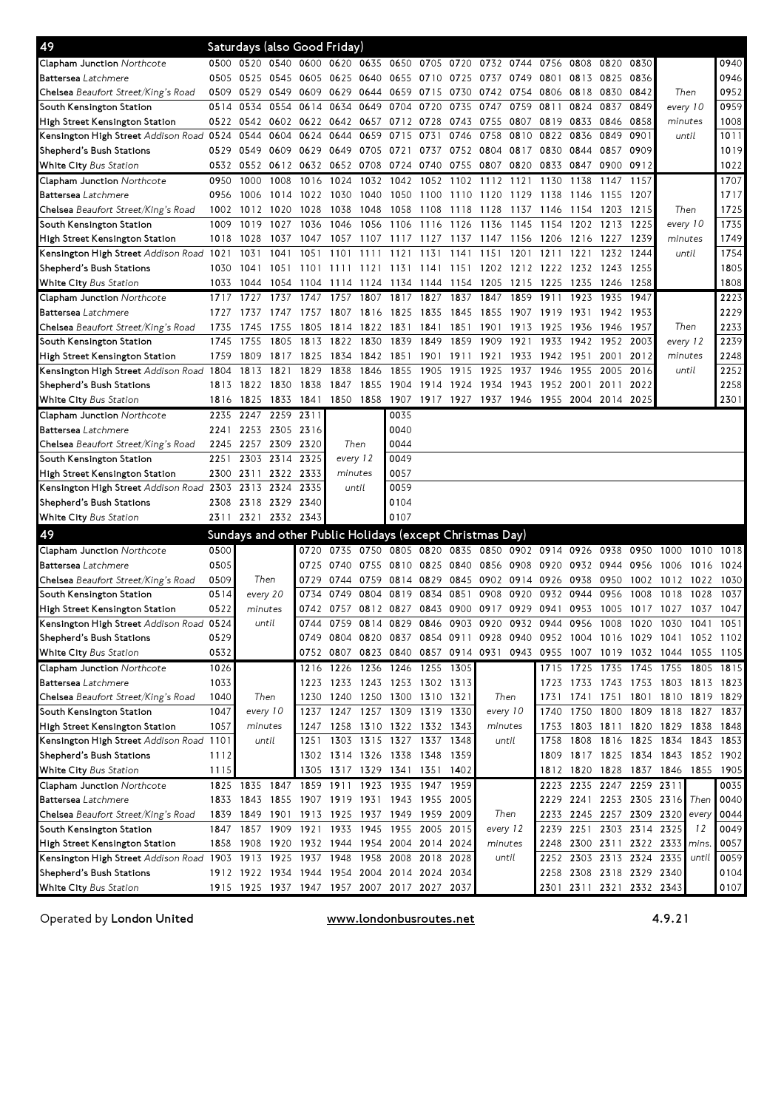| 49                                                           |      |                |                |           | Saturdays (also Good Friday)                             |                                              |                          |           |                |         |                |                                         |                          |           |                     |                                                                            |       |           |
|--------------------------------------------------------------|------|----------------|----------------|-----------|----------------------------------------------------------|----------------------------------------------|--------------------------|-----------|----------------|---------|----------------|-----------------------------------------|--------------------------|-----------|---------------------|----------------------------------------------------------------------------|-------|-----------|
| <b>Clapham Junction</b> Northcote                            | 0500 | 0520           | 0540 0600      |           | 0620                                                     | 0635 0650                                    |                          | 0705 0720 |                | 0732    | 0744           | 0756                                    | 0808                     | 0820      | 0830                |                                                                            |       | 0940      |
| <b>Battersea</b> Latchmere                                   | 0505 | 0525           | 0545 0605      |           | 0625                                                     | 0640                                         | 0655                     | 0710 0725 |                | 0737    | 0749           | 0801                                    | 0813                     | 0825      | 0836                |                                                                            |       | 0946      |
| <b>Chelsea</b> Beaufort Street/King's Road                   | 0509 | 0529           | 0549 0609      |           | 0629                                                     |                                              | 0644 0659                | 0715      | 0730           | 0742    | 0754           | 0806                                    | 0818                     | 0830      | 0842                | Then                                                                       |       | 0952      |
| South Kensington Station                                     | 0514 | 0534           | 0554           | 0614      | 0634                                                     |                                              | 0649 0704                | 0720      | 0735           | 0747    | 0759           | 0811                                    | 0824                     | 0837      | 0849                | every 10                                                                   |       | 0959      |
| High Street Kensington Station                               | 0522 |                | 0542 0602 0622 |           |                                                          |                                              | 0642 0657 0712 0728 0743 |           |                | 0755    | 0807           | 0819                                    | 0833                     | 0846      | 0858                | minutes                                                                    |       | 1008      |
| Kensington High Street Addison Road 0524                     |      | 0544           | 0604           | 0624      | 0644                                                     | 0659                                         | 0715                     | 0731      | 0746           | 0758    | 0810           | 0822                                    | 0836                     | 0849      | 0901                | until                                                                      |       | 1011      |
| Shepherd's Bush Stations                                     | 0529 | 0549           | 0609 0629      |           | 0649                                                     | 0705                                         | 0721                     | 0737      | 0752           | 0804    | 0817           | 0830                                    | 0844                     | 0857      | 0909                |                                                                            |       | 1019      |
| <b>White City</b> Bus Station                                | 0532 | 0552           | 0612 0632      |           |                                                          | 0652 0708 0724                               |                          | 0740      | 0755 0807      |         | 0820           | 0833                                    | 0847                     | 0900      | 0912                |                                                                            |       | 1022      |
| Clapham Junction Northcote                                   | 0950 | 1000           | 1008           | 1016      | 1024                                                     | 1032                                         | 1042                     | 1052 1102 |                | 1112    | 1121           | 1130                                    | 1138                     | 1147      | 1157                |                                                                            |       | 1707      |
| <b>Battersea</b> Latchmere                                   | 0956 | 1006           |                | 1014 1022 | 1030                                                     | 1040                                         | 1050                     | 1100      | 1110           | 1120    | 1129           | 1138                                    | 1146                     | 1155      | 1207                |                                                                            |       | 1717      |
| <b>Chelsea</b> Beaufort Street/King's Road                   | 1002 | 1012           | 1020           | 1028      | 1038                                                     | 1048                                         | 1058                     | 1108      | 1118           | 1128    | 1137           | 1146                                    | 1154                     | 1203      | 1215                | Then                                                                       |       | 1725      |
| South Kensington Station                                     | 1009 | 1019           | 1027           | 1036      | 1046                                                     | 1056                                         | 1106                     | 1116      | 1126           | 1136    | 1145           | 1154                                    | 1202                     | 1213      | 1225                | every 10                                                                   |       | 1735      |
| High Street Kensington Station                               | 1018 | 1028           | 1037           | 1047      | 1057                                                     |                                              | 1107 1117                | 1127      | 1137           | 1147    | 1156           | 1206                                    | 1216 1227                |           | 1239                | minutes                                                                    |       | 1749      |
| Kensington High Street Addison Road 1021                     |      | 1031           | 1041           | 1051      | 1101                                                     | 1111                                         | 1121                     | 1131      | 1141           | 1151    | 1201           | 121                                     | 1221                     | 1232      | 1244                | until                                                                      |       | 1754      |
| Shepherd's Bush Stations                                     | 1030 | 1041           | 1051           | 1101      | 1111                                                     | 1121                                         | 1131                     | 1141 1151 |                | 1202    | 1212 1222      |                                         |                          | 1232 1243 | 1255                |                                                                            |       | 1805      |
| <b>White City</b> Bus Station                                | 1033 | 1044           | 1054           | 1104      | 1114                                                     | 1124 1134                                    |                          | 1144 1154 |                | 1205    | 1215           | 1225                                    | 1235                     | 1246      | 1258                |                                                                            |       | 1808      |
| <b>Clapham Junction Northcote</b>                            | 1717 | 1727           | 1737           | 1747      | 1757                                                     | 1807                                         | 1817                     | 1827      | 1837           | 1847    | 1859           | 1911                                    | 1923                     | 1935      | 1947                |                                                                            |       | 2223      |
| <b>Battersea</b> Latchmere                                   | 1727 | 1737           | 1747           | 1757      | 1807                                                     | 1816                                         | 1825                     | 1835      | 1845           | 1855    | 1907           | 1919                                    | 1931                     | 1942      | 1953                |                                                                            |       | 2229      |
| Chelsea Beaufort Street/King's Road                          | 1735 | 1745           | 1755           | 1805      |                                                          | 1814 1822 1831                               |                          | 1841      | 1851           | 1901    | 1913           | 1925                                    | 1936                     | 1946      | 1957                | Then                                                                       |       | 2233      |
| South Kensington Station                                     | 1745 | 1755           | 1805           | 1813      | 1822                                                     | 1830                                         | 1839                     | 1849      | 1859           | 1909    | 1921           | 1933                                    | 1942                     | 1952      | 2003                | every 12                                                                   |       | 2239      |
| High Street Kensington Station                               | 1759 | 1809           | 1817           | 1825      | 1834                                                     | 1842                                         | 1851                     | 1901      | 1911           | 1921    | 1933           | 1942                                    | 1951                     | 2001      | 2012                | minutes                                                                    |       | 2248      |
| Kensington High Street Addison Road 1804                     |      | 1813           | 1821           | 1829      | 1838                                                     | 1846                                         | 1855                     | 1905      | 1915           | 1925    | 1937           | 1946                                    | 1955                     | 2005      | 2016                | until                                                                      |       | 2252      |
| Shepherd's Bush Stations                                     | 1813 | 1822           | 1830           | 1838      | 1847                                                     | 1855                                         | 1904                     | 1914 1924 |                | 1934    | 1943           | 1952                                    | 2001                     | 2011      | 2022                |                                                                            |       | 2258      |
| <b>White City</b> Bus Station                                | 1816 | 1825           | 1833 1841      |           |                                                          | 1850 1858                                    | 1907                     |           |                |         |                | 1917 1927 1937 1946 1955 2004 2014 2025 |                          |           |                     |                                                                            |       | 2301      |
| <b>Clapham Junction</b> Northcote                            | 2235 | 2247           | 2259           | 2311      |                                                          |                                              | 0035                     |           |                |         |                |                                         |                          |           |                     |                                                                            |       |           |
| <b>Battersea</b> Latchmere                                   | 2241 |                | 2253 2305 2316 |           |                                                          |                                              | 0040                     |           |                |         |                |                                         |                          |           |                     |                                                                            |       |           |
| <b>Chelsea</b> Beaufort Street/King's Road                   | 2245 | 2257           | 2309 2320      |           | Then                                                     |                                              | 0044                     |           |                |         |                |                                         |                          |           |                     |                                                                            |       |           |
| South Kensington Station                                     | 2251 | 2303           | 2314 2325      |           | every 12                                                 |                                              | 0049                     |           |                |         |                |                                         |                          |           |                     |                                                                            |       |           |
| High Street Kensington Station                               | 2300 | 2311           | 2322 2333      |           | minutes                                                  |                                              | 0057                     |           |                |         |                |                                         |                          |           |                     |                                                                            |       |           |
| Kensington High Street Addison Road 2303                     |      | 2313           | 2324           | 2335      | until                                                    |                                              | 0059                     |           |                |         |                |                                         |                          |           |                     |                                                                            |       |           |
| Shepherd's Bush Stations                                     | 2308 | 2318           | 2329 2340      |           |                                                          |                                              | 0104                     |           |                |         |                |                                         |                          |           |                     |                                                                            |       |           |
| <b>White City</b> Bus Station                                | 2311 | 2321           | 2332 2343      |           |                                                          |                                              | 0107                     |           |                |         |                |                                         |                          |           |                     |                                                                            |       |           |
| 49                                                           |      |                |                |           | Sundays and other Public Holidays (except Christmas Day) |                                              |                          |           |                |         |                |                                         |                          |           |                     |                                                                            |       |           |
| <b>Clapham Junction</b> Northcote                            | 0500 |                |                | 0720      | 0735                                                     | 0750                                         | 0805                     | 0820      | 0835           |         | 0850 0902 0914 |                                         | 0926                     | 0938      | 0950                | 1000                                                                       | 1010  | 1018      |
| <b>Battersea</b> Latchmere                                   | 0505 |                |                | 0725      | 0740                                                     | 0755                                         | 0810                     | 0825      | 0840           | 0856    | 0908           | 0920                                    | 0932                     | 0944      | 0956                | 1006                                                                       | 1016  | 1024      |
| <b>Chelsea</b> Beaufort Street/King's Road                   | 0509 |                | Then           | 0729      | 0744                                                     | 0759 0814                                    |                          | 0829      | 0845           |         | 0902 0914 0926 |                                         | 0938                     | 0950      | 1002                | 1012                                                                       | 1022  | 1030      |
| South Kensington Station                                     | 0514 | every 20       |                | 0734      | 0749                                                     | 0804                                         | 0819                     | 0834      | 0851           | 0908    | 0920           | 0932                                    | 0944                     | 0956      | 1008                | 1018                                                                       | 1028  | 1037      |
| High Street Kensington Station                               | 0522 | minutes        |                | 0742      | 0757                                                     | 0812                                         | 0827                     | 0843      | 0900           | 0917    | 0929           | 0941                                    | 0953                     | 1005      | 1017                | 1027                                                                       | 1037  | 1047      |
| Kensington High Street Addison Road 0524                     |      |                | until          | 0744      | 0759                                                     |                                              | 0814 0829                |           | 0846 0903 0920 |         |                | 0932 0944                               | 0956                     | 1008      | 1020                | 1030                                                                       | 1041  | 1051      |
| Shepherd's Bush Stations                                     | 0529 |                |                |           |                                                          |                                              |                          |           |                |         |                |                                         |                          |           |                     | 0749 0804 0820 0837 0854 0911 0928 0940 0952 1004 1016 1029 1041 1052 1102 |       |           |
| White City Bus Station                                       | 0532 |                |                | 0752      |                                                          |                                              |                          |           |                |         |                |                                         |                          |           |                     | 0807 0823 0840 0857 0914 0931 0943 0955 1007 1019 1032 1044 1055 1105      |       |           |
| <b>Clapham Junction Northcote</b>                            | 1026 |                |                | 1216      |                                                          | 1226 1236 1246                               |                          | 1255 1305 |                |         |                |                                         | 1715 1725 1735           |           | 1745 1755           |                                                                            |       | 1805 1815 |
| Battersea Latchmere                                          | 1033 |                |                | 1223      |                                                          |                                              | 1233 1243 1253 1302 1313 |           |                |         |                |                                         |                          |           |                     | 1723 1733 1743 1753 1803 1813 1823                                         |       |           |
| Chelsea Beaufort Street/King's Road                          | 1040 |                | Then           | 1230      |                                                          |                                              | 1240 1250 1300 1310 1321 |           |                |         | Then           |                                         |                          |           |                     | 1731 1741 1751 1801 1810 1819 1829                                         |       |           |
| South Kensington Station                                     | 1047 |                | every 10       | 1237      |                                                          |                                              | 1247 1257 1309 1319 1330 |           |                |         | every 10       | 1740                                    |                          |           | 1750 1800 1809 1818 |                                                                            | 1827  | 1837      |
| High Street Kensington Station                               | 1057 | minutes        |                | 1247      |                                                          |                                              | 1258 1310 1322 1332 1343 |           |                | minutes |                | 1753                                    |                          |           |                     | 1803 1811 1820 1829 1838 1848                                              |       |           |
| <b>Kensington High Street</b> Addison Road 1101              |      |                | until          | 1251      | 1303 1315 1327 1337 1348                                 |                                              |                          |           |                |         | until          |                                         | 1758 1808                |           | 1816 1825 1834      |                                                                            | 1843  | 1853      |
| Shepherd's Bush Stations                                     | 1112 |                |                | 1302      | 1314 1326 1338 1348 1359                                 |                                              |                          |           |                |         |                |                                         |                          |           |                     | 1809 1817 1825 1834 1843 1852 1902                                         |       |           |
| White City Bus Station                                       | 1115 |                |                | 1305      | 1317 1329 1341                                           |                                              |                          | 1351 1402 |                |         |                |                                         | 1812 1820                |           |                     | 1828 1837 1846 1855 1905                                                   |       |           |
| Clapham Junction Northcote                                   |      | 1825 1835 1847 |                |           | 1859 1911 1923 1935                                      |                                              |                          | 1947 1959 |                |         |                |                                         | 2223 2235 2247 2259 2311 |           |                     |                                                                            |       | 0035      |
| <b>Battersea</b> Latchmere                                   |      |                |                |           | 1833 1843 1855 1907 1919 1931 1943 1955 2005             |                                              |                          |           |                |         |                |                                         |                          |           |                     | 2229 2241 2253 2305 2316 Then                                              |       | 0040      |
| <b>Chelsea</b> Beaufort Street/King's Road                   |      |                |                |           | 1839 1849 1901 1913 1925 1937 1949 1959 2009             |                                              |                          |           |                | Then    |                |                                         |                          |           |                     | 2233 2245 2257 2309 2320 every                                             |       | 0044      |
| South Kensington Station                                     |      | 1847 1857      | 1909 1921      |           | 1933                                                     | 1945 1955                                    |                          | 2005 2015 |                |         | every 12       |                                         | 2239 2251 2303 2314 2325 |           |                     |                                                                            | 12    | 0049      |
| High Street Kensington Station                               |      | 1858 1908      |                |           | 1920 1932 1944 1954 2004 2014 2024                       |                                              |                          |           |                | minutes |                | 2248                                    |                          |           |                     | 2300 2311 2322 2333                                                        | mins. | 0057      |
| Kensington High Street Addison Road 1903 1913 1925 1937 1948 |      |                |                |           |                                                          | 1958 2008                                    |                          | 2018 2028 |                |         | until          | 2252                                    |                          |           |                     | 2303 2313 2324 2335                                                        | until | 0059      |
| Shepherd's Bush Stations                                     |      |                |                |           | 1912 1922 1934 1944 1954 2004 2014 2024 2034             |                                              |                          |           |                |         |                |                                         | 2258 2308 2318 2329 2340 |           |                     |                                                                            |       | 0104      |
| White City Bus Station                                       |      |                |                |           |                                                          | 1915 1925 1937 1947 1957 2007 2017 2027 2037 |                          |           |                |         |                |                                         | 2301 2311 2321 2332 2343 |           |                     |                                                                            |       | 0107      |

Operated by London United

www.londonbusroutes.net 4.9.21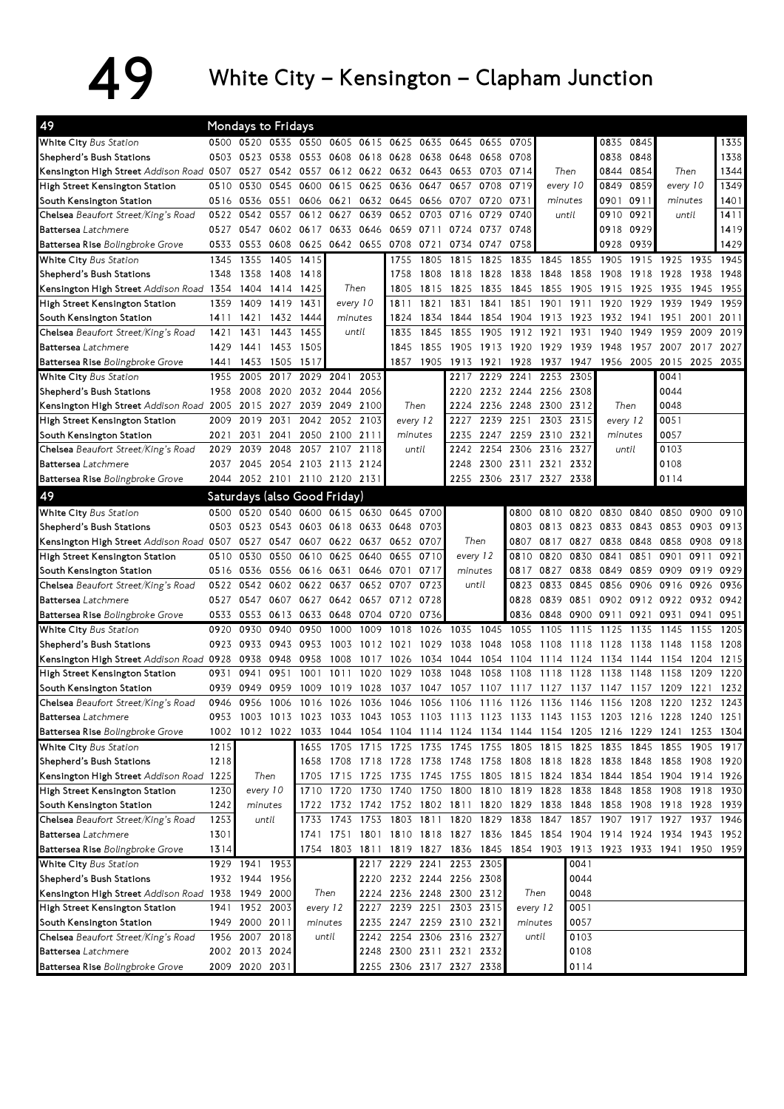## 49 White City – Kensington – Clapham Junction

| 49                                                                         |              |                | Mondays to Fridays |                              |                |                |                          |              |                                                        |              |                |              |              |                          |              |                                                                                           |              |              |
|----------------------------------------------------------------------------|--------------|----------------|--------------------|------------------------------|----------------|----------------|--------------------------|--------------|--------------------------------------------------------|--------------|----------------|--------------|--------------|--------------------------|--------------|-------------------------------------------------------------------------------------------|--------------|--------------|
| White City Bus Station                                                     |              | 0500 0520 0535 |                    | 0550 0605                    |                | 0615 0625      |                          | 0635         | 0645                                                   | 0655         | 0705           |              |              | 0835                     | 0845         |                                                                                           |              | 1335         |
| Shepherd's Bush Stations                                                   | 0503         | 0523 0538      |                    | 0553                         | 0608           | 0618           | 0628                     | 0638         | 0648                                                   | 0658         | 0708           |              |              | 0838                     | 0848         |                                                                                           |              | 1338         |
| Kensington High Street Addison Road 0507 0527 0542 0557                    |              |                |                    |                              |                |                | 0612 0622 0632 0643 0653 |              |                                                        | 0703         | 0714           |              | Then         |                          | 0844 0854    | Then                                                                                      |              | 1344         |
| High Street Kensington Station                                             | 0510         | 0530           | 0545               | 0600                         |                | 0615 0625      | 0636                     | 0647         | 0657                                                   | 0708         | 0719           |              | every 10     | 0849                     | 0859         | every 10                                                                                  |              | 1349         |
| South Kensington Station                                                   | 0516         | 0536 0551      |                    | 0606                         | 0621           | 0632           | 0645                     | 0656 0707    |                                                        | 0720         | 0731           | minutes      |              | 0901                     | 0911         | minutes                                                                                   |              | 1401         |
| Chelsea Beaufort Street/King's Road                                        | 0522         | 0542           | 0557               | 0612 0627                    |                | 0639           | 0652                     |              | 0703 0716                                              | 0729         | 0740           |              | until        | 0910 0921                |              |                                                                                           | until        |              |
| Battersea Latchmere                                                        | 0527         | 0547           | 0602               | 0617                         | 0633 0646      |                | 0659                     | 0711 0724    |                                                        | 0737         | 0748           |              |              |                          | 0918 0929    |                                                                                           |              | 1419         |
| Battersea Rise Bolingbroke Grove                                           | 0533         | 0553           | 0608               | 0625                         | 0642 0655 0708 |                |                          | 0721         | 0734                                                   | 0747         | 0758           |              |              | 0928                     | 0939         |                                                                                           |              | 1429         |
| White City Bus Station                                                     | 1345         | 1355           | 1405               | 1415                         |                |                | 1755                     | 1805         | 1815                                                   | 1825         | 1835           | 1845         | 1855         | 1905                     | 1915         | 1925                                                                                      | 1935         | 1945         |
| Shepherd's Bush Stations                                                   | 1348         | 1358           | 1408               | 1418                         |                |                | 1758                     | 1808         | 1818                                                   | 1828         | 1838           | 1848         | 1858         | 1908                     | 1918         | 1928                                                                                      | 1938         | 1948         |
| Kensington High Street Addison Road 1354                                   |              | 1404           | 1414               | 1425                         |                | Then           | 1805                     | 1815         | 1825                                                   | 1835         | 1845           | 1855         | 1905         | 1915                     | 1925         | 1935                                                                                      | 1945         | 1955         |
| High Street Kensington Station                                             | 1359         | 1409           | 1419               | 1431                         | every 10       |                | 1811                     | 1821         | 1831                                                   | 1841         | 1851           | 1901         | 1911         | 1920                     | 1929         | 1939                                                                                      | 1949         | 1959         |
| South Kensington Station                                                   | 1411         | 1421           |                    | 1432 1444                    | minutes        |                | 1824                     | 1834         | 1844                                                   | 1854         | 1904           | 1913         | 1923         | 1932                     | 1941         | 1951                                                                                      | 2001         | 2011         |
| Chelsea Beaufort Street/King's Road                                        | 1421         | 1431           | 1443               | 1455                         |                | until          | 1835                     | 1845         | 1855                                                   | 1905         | 1912           | 1921         | 1931         | 1940                     | 1949         | 1959                                                                                      | 2009         | 2019         |
| Battersea Latchmere                                                        | 1429         | 1441           | 1453               | 1505                         |                |                | 1845                     | 1855         | 1905                                                   | 1913         | 1920           | 1929         | 1939         | 1948                     | 1957         | 2007                                                                                      | 2017         | 2027         |
| Battersea Rise Bolingbroke Grove                                           | 1441         | 1453           | 1505               | 1517                         |                |                | 1857                     |              | 1905 1913                                              | 1921         | 1928           | 1937         | 1947         |                          | 1956 2005    | 2015                                                                                      | 2025         | 2035         |
| White City Bus Station                                                     | 1955         |                | 2005 2017          | 2029                         | 2041           | 2053           |                          |              | 2217                                                   |              | 2229 2241 2253 |              | 2305         |                          |              | 0041                                                                                      |              |              |
| Shepherd's Bush Stations                                                   | 1958         | 2008           | 2020               | 2032                         | 2044           | 2056           |                          |              | 2220                                                   |              | 2232 2244 2256 |              | 2308         |                          |              | 0044                                                                                      |              |              |
| Kensington High Street Addison Road 2005                                   |              | 2015           | 2027               | 2039                         | 2049           | 2100           | Then                     |              | 2224                                                   |              | 2236 2248 2300 |              | 2312         |                          | Then         | 0048                                                                                      |              |              |
| High Street Kensington Station                                             | 2009         | 2019           | 2031               | 2042                         | 2052           | 2103           | every 12                 |              | 2227                                                   | 2239         | 2251           | 2303         | 2315         | every 12                 |              | 0051                                                                                      |              |              |
| South Kensington Station                                                   | 2021         | 2031           | 2041               | 2050                         | 2100           | 2111           | minutes                  |              | 2235                                                   |              | 2247 2259      | 2310         | 2321         |                          | minutes      | 0057                                                                                      |              |              |
| Chelsea Beaufort Street/King's Road                                        | 2029         | 2039           | 2048               | 2057                         | 2107           | 2118           | until                    |              | 2242                                                   | 2254         | 2306           | 2316         | 2327         |                          | until        | 0103                                                                                      |              |              |
| Battersea Latchmere                                                        | 2037         | 2045           | 2054               | 2103                         |                | 2113 2124      |                          |              | 2248                                                   |              | 2300 2311      | 2321         | 2332         |                          |              | 0108                                                                                      |              |              |
| Battersea Rise Bolingbroke Grove                                           | 2044         |                |                    | 2052 2101 2110 2120 2131     |                |                |                          |              | 2255                                                   |              | 2306 2317 2327 |              | 2338         |                          |              | 0114                                                                                      |              |              |
| 49                                                                         |              |                |                    | Saturdays (also Good Friday) |                |                |                          |              |                                                        |              |                |              |              |                          |              |                                                                                           |              |              |
| White City Bus Station                                                     | 0500         | 0520           | 0540               | 0600                         |                |                | 0615 0630 0645           | 0700         |                                                        |              | 0800           | 0810         | 0820         | 0830                     | 0840         | 0850                                                                                      | 0900         | 0910         |
| Shepherd's Bush Stations                                                   | 0503         | 0523 0543      |                    | 0603                         | 0618 0633      |                |                          | 0703         |                                                        |              | 0803           | 0813         | 0823 0833    |                          | 0843         | 0853                                                                                      | 0903         | 0913         |
|                                                                            |              | 0527           | 0547               | 0607                         |                | 0622 0637      | 0648<br>0652             |              | Then                                                   |              | 0807           | 0817         | 0827         | 0838                     | 0848         | 0858                                                                                      | 0908         | 0918         |
| Kensington High Street Addison Road 0507<br>High Street Kensington Station | 0510         | 0530           | 0550               | 0610                         | 0625           | 0640           | 0655                     | 0707<br>0710 |                                                        |              |                | 0820         | 0830         | 0841                     | 0851         | 0901                                                                                      | 0911         | 0921         |
| South Kensington Station                                                   |              | 0516 0536      | 0556               | 0616 0631                    |                | 0646           | 0701                     | 0717         | every 12                                               |              | 0810<br>0817   | 0827         | 0838         | 0849                     | 0859         | 0909                                                                                      | 0919         | 0929         |
| Chelsea Beaufort Street/King's Road                                        | 0522         | 0542           | 0602               | 0622                         | 0637           | 0652           | 0707                     | 0723         | minutes<br>until                                       |              | 0823           | 0833         | 0845         | 0856                     | 0906         | 0916                                                                                      | 0926         | 0936         |
| Battersea Latchmere                                                        | 0527         | 0547           | 0607               | 0627                         | 0642           | 0657           | 0712                     | 0728         |                                                        |              | 0828           | 0839         | 0851         | 0902                     | 0912         | 0922                                                                                      | 0932         | 0942         |
|                                                                            | 0533         | 0553           | 0613               | 0633                         |                | 0648 0704      | 0720                     | 0736         |                                                        |              | 0836           | 0848         | 0900 0911    |                          | 0921         | 0931                                                                                      | 0941         | 0951         |
| Battersea Rise Bolingbroke Grove                                           | 0920         | 0930           | 0940               | 0950                         | 1000           | 1009           | 1018                     | 1026         | 1035                                                   | 1045         | 1055           | 1105         | 1115         | 1125                     | 1135         | 1145                                                                                      | 1155         | 1205         |
| White City Bus Station                                                     | 0923         | 0933           | 0943               | 0953                         | 1003           | 1012           | 1021                     | 1029         | 1038                                                   | 1048         | 1058           | 1108         | 1118         | 1128                     | 1138         | 1148                                                                                      | 1158         | 1208         |
| Shepherd's Bush Stations                                                   |              |                |                    |                              |                |                |                          |              |                                                        |              |                |              |              |                          |              |                                                                                           |              |              |
| Kensington High Street Addison Road 0928                                   | 0931         | 0938<br>0941   | 0948<br>0951       | 0958<br>1001                 | 1008<br>1011   | 1017<br>1020   | 1026<br>1029             | 1034<br>1038 | 1044<br>1048                                           | 1054<br>1058 | 1104<br>1108   | 1114<br>1118 | 1124<br>1128 | 1134<br>1138             | 1144<br>1148 | 1154<br>1158                                                                              | 1204<br>1209 | 1215<br>1220 |
| High Street Kensington Station                                             | 0939         | 0949           | 0959               | 1009                         | 1019           |                |                          |              | 1057                                                   |              |                |              |              |                          |              |                                                                                           |              | 1232         |
| South Kensington Station<br>Chelsea Beaufort Street/King's Road            | 0946         | 0956           | 1006               | 1016                         | 1026           | 1028<br>1036   | 1037<br>1046             | 1047<br>1056 | 1106                                                   | 1107<br>1116 | 1117<br>1126   | 1127<br>1136 | 1137<br>1146 | 1147<br>1156             | 1157<br>1208 | 1209<br>1220                                                                              | 1221<br>1232 | 1243         |
| Battersea Latchmere                                                        |              |                |                    |                              |                |                |                          |              |                                                        |              |                |              |              |                          |              | 0953 1003 1013 1023 1033 1043 1053 1103 1113 1123 1133 1143 1153 1203 1216 1228 1240 1251 |              |              |
| Battersea Rise Bolingbroke Grove                                           |              |                |                    |                              |                |                |                          |              |                                                        |              |                |              |              |                          |              | 1002 1012 1022 1033 1044 1054 1104 1114 1124 1134 1144 1154 1205 1216 1229 1241 1253 1304 |              |              |
|                                                                            |              |                |                    |                              |                |                |                          |              | 1655 1705 1715 1725 1735 1745 1755 1805 1815 1825 1835 |              |                |              |              |                          | 1845         | 1855 1905 1917                                                                            |              |              |
| White City Bus Station<br>Shepherd's Bush Stations                         | 1215<br>1218 |                |                    |                              |                |                |                          |              | 1658 1708 1718 1728 1738 1748 1758 1808 1818 1828 1838 |              |                |              |              |                          | 1848         | 1858 1908 1920                                                                            |              |              |
| Kensington High Street Addison Road 1225                                   |              |                | Then               | 1705                         |                | 1715 1725 1735 |                          |              | 1745 1755                                              |              |                |              |              | 1805 1815 1824 1834 1844 | 1854         | 1904 1914 1926                                                                            |              |              |
| High Street Kensington Station                                             | 1230         | every 10       |                    | 1710                         |                |                |                          |              | 1720 1730 1740 1750 1800 1810 1819 1828 1838 1848      |              |                |              |              |                          | 1858         | 1908 1918 1930                                                                            |              |              |
| South Kensington Station                                                   | 1242         | minutes        |                    | 1722                         |                |                |                          |              | 1732 1742 1752 1802 1811 1820 1829 1838 1848 1858      |              |                |              |              |                          |              | 1908 1918 1928 1939                                                                       |              |              |
| Chelsea Beaufort Street/King's Road                                        | 1253         |                | until              | 1733                         |                |                |                          |              | 1743 1753 1803 1811 1820 1829 1838 1847 1857 1907      |              |                |              |              |                          | 1917 1927    |                                                                                           | 1937 1946    |              |
| Battersea Latchmere                                                        | 1301         |                |                    |                              |                |                |                          |              | 1741 1751 1801 1810 1818 1827 1836 1845 1854           |              |                |              |              |                          |              | 1904 1914 1924 1934 1943 1952                                                             |              |              |
| Battersea Rise Bolingbroke Grove                                           | 1314         |                |                    |                              |                |                |                          |              | 1754 1803 1811 1819 1827 1836 1845 1854 1903           |              |                |              |              |                          |              | 1913 1923 1933 1941 1950 1959                                                             |              |              |
| White City Bus Station                                                     |              | 1929 1941      | 1953               |                              |                |                |                          |              | 2217 2229 2241 2253                                    | 2305         |                |              | 0041         |                          |              |                                                                                           |              |              |
| Shepherd's Bush Stations                                                   |              | 1932 1944 1956 |                    |                              |                |                |                          |              | 2220 2232 2244 2256 2308                               |              |                |              | 0044         |                          |              |                                                                                           |              |              |
| Kensington High Street Addison Road 1938 1949 2000                         |              |                |                    | Then                         |                |                |                          |              | 2224 2236 2248 2300 2312                               |              |                | Then         | 0048         |                          |              |                                                                                           |              |              |
| High Street Kensington Station                                             |              | 1941 1952 2003 |                    | every 12                     |                |                |                          |              | 2227 2239 2251 2303 2315                               |              | every 12       |              | 0051         |                          |              |                                                                                           |              |              |
| South Kensington Station                                                   |              | 1949 2000 2011 |                    | minutes                      |                |                |                          |              | 2235 2247 2259 2310 2321                               |              |                | minutes      | 0057         |                          |              |                                                                                           |              |              |
| Chelsea Beaufort Street/King's Road                                        |              | 1956 2007 2018 |                    |                              | until          |                |                          |              | 2242 2254 2306 2316 2327                               |              |                | until        | 0103         |                          |              |                                                                                           |              |              |
| Battersea Latchmere                                                        |              | 2002 2013 2024 |                    |                              |                |                |                          |              | 2248 2300 2311 2321 2332                               |              |                |              | 0108         |                          |              |                                                                                           |              |              |
|                                                                            |              |                |                    |                              |                |                |                          |              |                                                        |              |                |              |              |                          |              |                                                                                           |              |              |
| Battersea Rise Bolingbroke Grove                                           |              | 2009 2020 2031 |                    |                              |                |                |                          |              | 2255 2306 2317 2327 2338                               |              |                |              | 0114         |                          |              |                                                                                           |              |              |